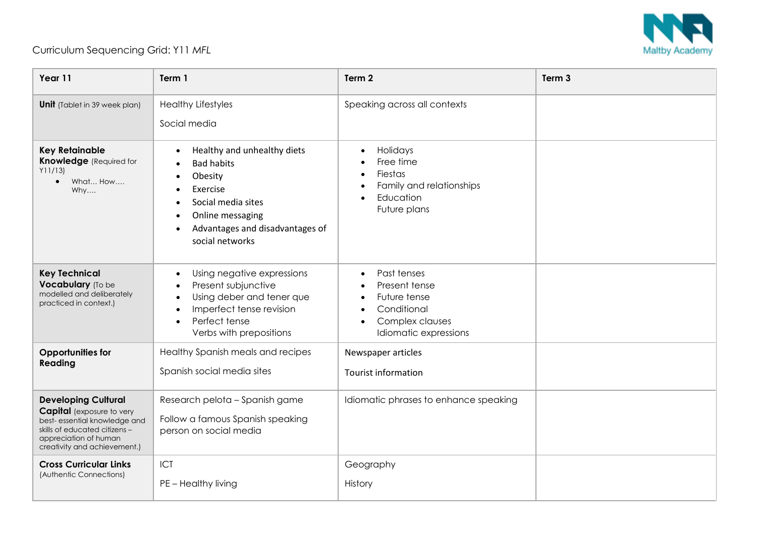

## Curriculum Sequencing Grid: Y11 *MFL*

| Year 11                                                                                                                                                                                  | Term 1                                                                                                                                                                  | Term 2                                                                                                               | Term 3 |
|------------------------------------------------------------------------------------------------------------------------------------------------------------------------------------------|-------------------------------------------------------------------------------------------------------------------------------------------------------------------------|----------------------------------------------------------------------------------------------------------------------|--------|
| <b>Unit</b> (Tablet in 39 week plan)                                                                                                                                                     | <b>Healthy Lifestyles</b><br>Social media                                                                                                                               | Speaking across all contexts                                                                                         |        |
| <b>Key Retainable</b><br><b>Knowledge</b> (Required for<br>Y11/13<br>What How<br>$\bullet$<br>Why                                                                                        | Healthy and unhealthy diets<br><b>Bad habits</b><br>Obesity<br>Exercise<br>Social media sites<br>Online messaging<br>Advantages and disadvantages of<br>social networks | Holidays<br>Free time<br>Fiestas<br>Family and relationships<br>Education<br>Future plans                            |        |
| <b>Key Technical</b><br>Vocabulary (To be<br>modelled and deliberately<br>practiced in context.)                                                                                         | Using negative expressions<br>$\bullet$<br>Present subjunctive<br>Using deber and tener que<br>Imperfect tense revision<br>Perfect tense<br>Verbs with prepositions     | Past tenses<br>Present tense<br>Future tense<br>Conditional<br>Complex clauses<br>$\bullet$<br>Idiomatic expressions |        |
| <b>Opportunities for</b><br>Reading                                                                                                                                                      | Healthy Spanish meals and recipes<br>Spanish social media sites                                                                                                         | Newspaper articles<br><b>Tourist information</b>                                                                     |        |
| <b>Developing Cultural</b><br><b>Capital</b> (exposure to very<br>best-essential knowledge and<br>skills of educated citizens -<br>appreciation of human<br>creativity and achievement.) | Research pelota - Spanish game<br>Follow a famous Spanish speaking<br>person on social media                                                                            | Idiomatic phrases to enhance speaking                                                                                |        |
| <b>Cross Curricular Links</b><br>(Authentic Connections)                                                                                                                                 | ICT<br>PE - Healthy living                                                                                                                                              | Geography<br>History                                                                                                 |        |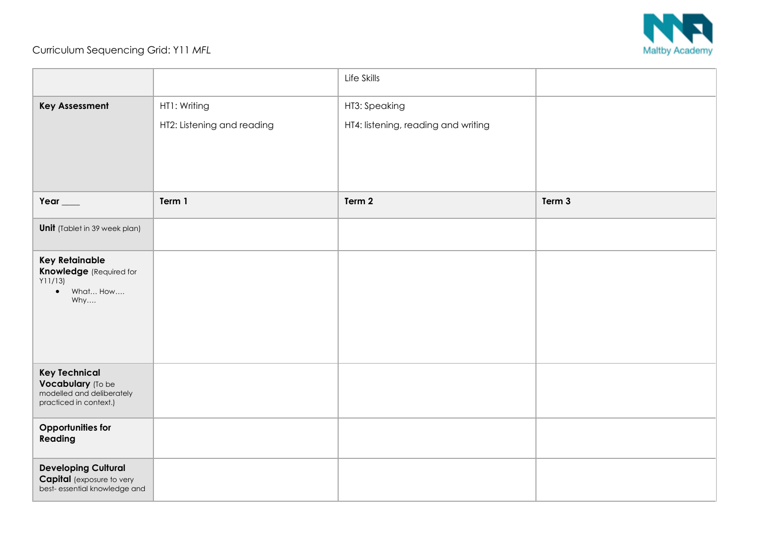

## Curriculum Sequencing Grid: Y11 *MFL*

|                                                                                                  |                            | Life Skills                         |        |
|--------------------------------------------------------------------------------------------------|----------------------------|-------------------------------------|--------|
| <b>Key Assessment</b>                                                                            | HT1: Writing               | HT3: Speaking                       |        |
|                                                                                                  | HT2: Listening and reading | HT4: listening, reading and writing |        |
|                                                                                                  |                            |                                     |        |
|                                                                                                  |                            |                                     |        |
|                                                                                                  |                            |                                     |        |
| Year $\_\_$                                                                                      | Term 1                     | Term 2                              | Term 3 |
| <b>Unit</b> (Tablet in 39 week plan)                                                             |                            |                                     |        |
| <b>Key Retainable</b><br><b>Knowledge</b> (Required for<br>Y11/13<br>What How<br>$\bullet$       |                            |                                     |        |
| Why                                                                                              |                            |                                     |        |
|                                                                                                  |                            |                                     |        |
| <b>Key Technical</b><br>Vocabulary (To be<br>modelled and deliberately<br>practiced in context.) |                            |                                     |        |
| Opportunities for<br>Reading                                                                     |                            |                                     |        |
| <b>Developing Cultural</b><br><b>Capital</b> (exposure to very<br>best- essential knowledge and  |                            |                                     |        |